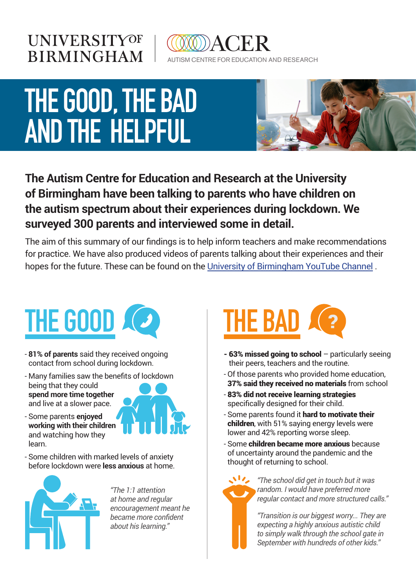### **UNIVERSITYOF BIRMINGHAM**



## **THE GOOD, THE BAD AND THE HELPFUL**



#### **The Autism Centre for Education and Research at the University of Birmingham have been talking to parents who have children on the autism spectrum about their experiences during lockdown. We surveyed 300 parents and interviewed some in detail.**

The aim of this summary of our findings is to help inform teachers and make recommendations for practice. We have also produced videos of parents talking about their experiences and their hopes for the future. These can be found on th[e University of Birmingham YouTube Channel](https://studio.youtube.com/channel/UCAxsyZSqHRg3rRk_aBDITIA) .



- **81% of parents** said they received ongoing contact from school during lockdown.
- Many families saw the benefits of lockdown being that they could **spend more time together** and live at a slower pace.
- Some parents **enjoyed working with their children** and watching how they learn.





*"The 1:1 attention at home and regular encouragement meant he became more confident about his learning."*



- 63% missed going to school particularly seeing their peers, teachers and the routine.
- Of those parents who provided home education, 37% said they received no materials from school
- 83% did not receive learning strategies specifically designed for their child.
- Some parents found it hard to motivate their children, with 51% saying energy levels were lower and 42% reporting worse sleep.
- Some children became more anxious because of uncertainty around the pandemic and the thought of returning to school.



*"The school did get in touch but it was random. I would have preferred more regular contact and more structured calls."* 

*"Transition is our biggest worry... They are expecting a highly anxious autistic child to simply walk through the school gate in September with hundreds of other kids."*